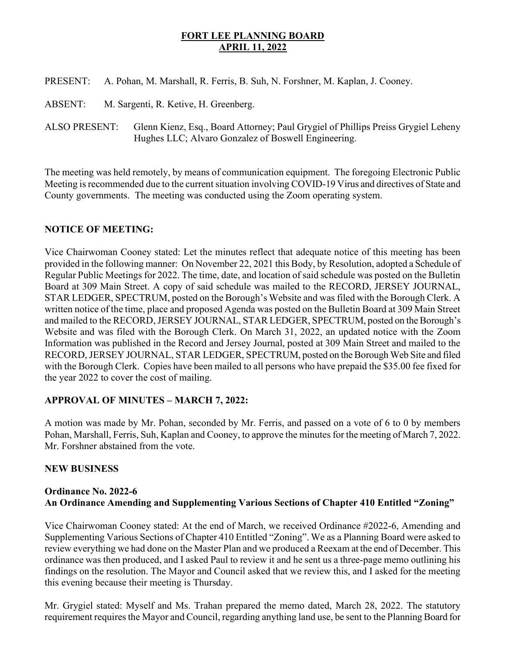# FORT LEE PLANNING BOARD APRIL 11, 2022

- PRESENT: A. Pohan, M. Marshall, R. Ferris, B. Suh, N. Forshner, M. Kaplan, J. Cooney.
- ABSENT: M. Sargenti, R. Ketive, H. Greenberg.
- ALSO PRESENT: Glenn Kienz, Esq., Board Attorney; Paul Grygiel of Phillips Preiss Grygiel Leheny Hughes LLC; Alvaro Gonzalez of Boswell Engineering.

The meeting was held remotely, by means of communication equipment. The foregoing Electronic Public Meeting is recommended due to the current situation involving COVID-19 Virus and directives of State and County governments. The meeting was conducted using the Zoom operating system.

# NOTICE OF MEETING:

Vice Chairwoman Cooney stated: Let the minutes reflect that adequate notice of this meeting has been provided in the following manner: On November 22, 2021 this Body, by Resolution, adopted a Schedule of Regular Public Meetings for 2022. The time, date, and location of said schedule was posted on the Bulletin Board at 309 Main Street. A copy of said schedule was mailed to the RECORD, JERSEY JOURNAL, STAR LEDGER, SPECTRUM, posted on the Borough's Website and was filed with the Borough Clerk. A written notice of the time, place and proposed Agenda was posted on the Bulletin Board at 309 Main Street and mailed to the RECORD, JERSEY JOURNAL, STAR LEDGER, SPECTRUM, posted on the Borough's Website and was filed with the Borough Clerk. On March 31, 2022, an updated notice with the Zoom Information was published in the Record and Jersey Journal, posted at 309 Main Street and mailed to the RECORD, JERSEY JOURNAL, STAR LEDGER, SPECTRUM, posted on the Borough Web Site and filed with the Borough Clerk. Copies have been mailed to all persons who have prepaid the \$35.00 fee fixed for the year 2022 to cover the cost of mailing.

# APPROVAL OF MINUTES – MARCH 7, 2022:

A motion was made by Mr. Pohan, seconded by Mr. Ferris, and passed on a vote of 6 to 0 by members Pohan, Marshall, Ferris, Suh, Kaplan and Cooney, to approve the minutes for the meeting of March 7, 2022. Mr. Forshner abstained from the vote.

#### NEW BUSINESS

# Ordinance No. 2022-6 An Ordinance Amending and Supplementing Various Sections of Chapter 410 Entitled "Zoning"

Vice Chairwoman Cooney stated: At the end of March, we received Ordinance #2022-6, Amending and Supplementing Various Sections of Chapter 410 Entitled "Zoning". We as a Planning Board were asked to review everything we had done on the Master Plan and we produced a Reexam at the end of December. This ordinance was then produced, and I asked Paul to review it and he sent us a three-page memo outlining his findings on the resolution. The Mayor and Council asked that we review this, and I asked for the meeting this evening because their meeting is Thursday.

Mr. Grygiel stated: Myself and Ms. Trahan prepared the memo dated, March 28, 2022. The statutory requirement requires the Mayor and Council, regarding anything land use, be sent to the Planning Board for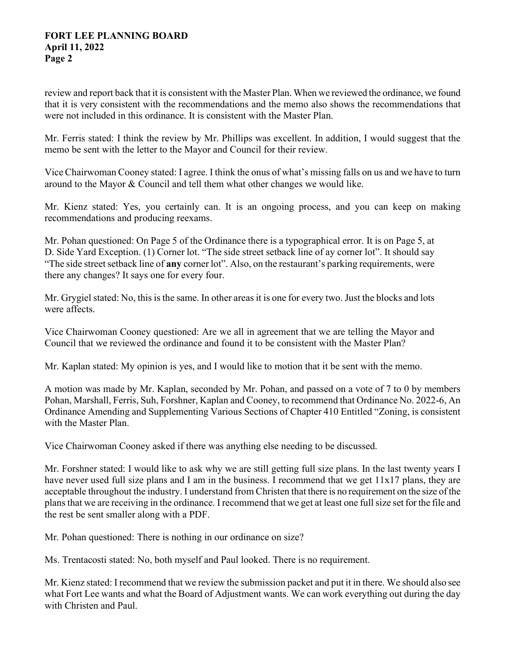#### FORT LEE PLANNING BOARD April 11, 2022 Page 2

review and report back that it is consistent with the Master Plan. When we reviewed the ordinance, we found that it is very consistent with the recommendations and the memo also shows the recommendations that were not included in this ordinance. It is consistent with the Master Plan.

Mr. Ferris stated: I think the review by Mr. Phillips was excellent. In addition, I would suggest that the memo be sent with the letter to the Mayor and Council for their review.

Vice Chairwoman Cooney stated: I agree. I think the onus of what's missing falls on us and we have to turn around to the Mayor & Council and tell them what other changes we would like.

Mr. Kienz stated: Yes, you certainly can. It is an ongoing process, and you can keep on making recommendations and producing reexams.

Mr. Pohan questioned: On Page 5 of the Ordinance there is a typographical error. It is on Page 5, at D. Side Yard Exception. (1) Corner lot. "The side street setback line of ay corner lot". It should say "The side street setback line of any corner lot". Also, on the restaurant's parking requirements, were there any changes? It says one for every four.

Mr. Grygiel stated: No, this is the same. In other areas it is one for every two. Just the blocks and lots were affects.

Vice Chairwoman Cooney questioned: Are we all in agreement that we are telling the Mayor and Council that we reviewed the ordinance and found it to be consistent with the Master Plan?

Mr. Kaplan stated: My opinion is yes, and I would like to motion that it be sent with the memo.

A motion was made by Mr. Kaplan, seconded by Mr. Pohan, and passed on a vote of 7 to 0 by members Pohan, Marshall, Ferris, Suh, Forshner, Kaplan and Cooney, to recommend that Ordinance No. 2022-6, An Ordinance Amending and Supplementing Various Sections of Chapter 410 Entitled "Zoning, is consistent with the Master Plan.

Vice Chairwoman Cooney asked if there was anything else needing to be discussed.

Mr. Forshner stated: I would like to ask why we are still getting full size plans. In the last twenty years I have never used full size plans and I am in the business. I recommend that we get 11x17 plans, they are acceptable throughout the industry. I understand from Christen that there is no requirement on the size of the plans that we are receiving in the ordinance. I recommend that we get at least one full size set for the file and the rest be sent smaller along with a PDF.

Mr. Pohan questioned: There is nothing in our ordinance on size?

Ms. Trentacosti stated: No, both myself and Paul looked. There is no requirement.

Mr. Kienz stated: I recommend that we review the submission packet and put it in there. We should also see what Fort Lee wants and what the Board of Adjustment wants. We can work everything out during the day with Christen and Paul.